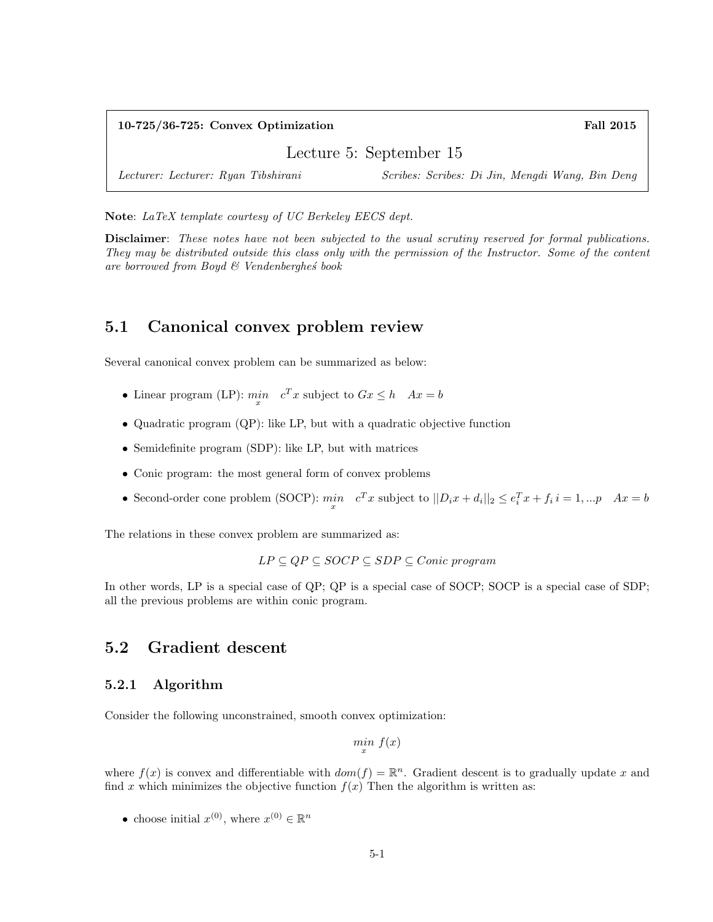| $10-725/36-725$ : Convex Optimization | <b>Fall 2015</b>                                |
|---------------------------------------|-------------------------------------------------|
| Lecture 5: September 15               |                                                 |
| Lecturer: Lecturer: Ryan Tibshirani   | Scribes: Scribes: Di Jin, Mengdi Wang, Bin Deng |

Note: LaTeX template courtesy of UC Berkeley EECS dept.

Disclaimer: These notes have not been subjected to the usual scrutiny reserved for formal publications. They may be distributed outside this class only with the permission of the Instructor. Some of the content are borrowed from Boyd  $\mathcal{C}$  Vendenberghes book

# 5.1 Canonical convex problem review

Several canonical convex problem can be summarized as below:

- Linear program (LP):  $\min_{x} c^{T} x$  subject to  $Gx \leq h \quad Ax = b$
- Quadratic program (QP): like LP, but with a quadratic objective function
- Semidefinite program (SDP): like LP, but with matrices
- Conic program: the most general form of convex problems
- Second-order cone problem (SOCP):  $\min_{x} c^T x$  subject to  $||D_i x + d_i||_2 \le e_i^T x + f_i i = 1, ... p$   $Ax = b$

The relations in these convex problem are summarized as:

$$
LP \subseteq QP \subseteq SOCP \subseteq SDP \subseteq Conic\ program
$$

In other words, LP is a special case of QP; QP is a special case of SOCP; SOCP is a special case of SDP; all the previous problems are within conic program.

### 5.2 Gradient descent

### 5.2.1 Algorithm

Consider the following unconstrained, smooth convex optimization:

 $\min_{x} f(x)$ 

where  $f(x)$  is convex and differentiable with  $dom(f) = \mathbb{R}^n$ . Gradient descent is to gradually update x and find x which minimizes the objective function  $f(x)$  Then the algorithm is written as:

• choose initial  $x^{(0)}$ , where  $x^{(0)} \in \mathbb{R}^n$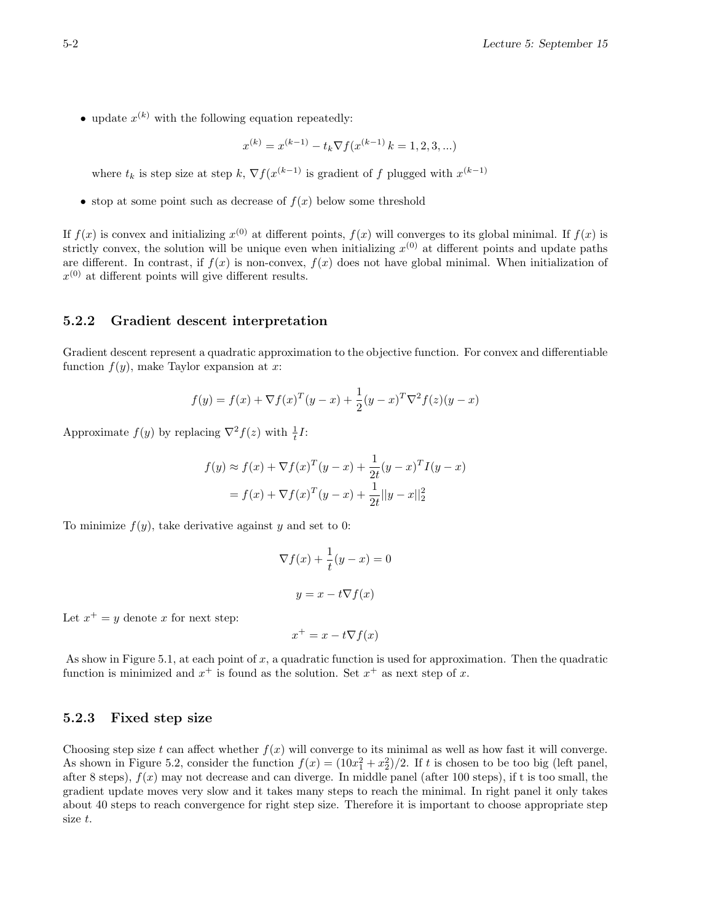• update  $x^{(k)}$  with the following equation repeatedly:

$$
x^{(k)} = x^{(k-1)} - t_k \nabla f(x^{(k-1)} | k = 1, 2, 3, ...)
$$

where  $t_k$  is step size at step  $k$ ,  $\nabla f(x^{(k-1)})$  is gradient of f plugged with  $x^{(k-1)}$ 

• stop at some point such as decrease of  $f(x)$  below some threshold

If  $f(x)$  is convex and initializing  $x^{(0)}$  at different points,  $f(x)$  will converges to its global minimal. If  $f(x)$  is strictly convex, the solution will be unique even when initializing  $x^{(0)}$  at different points and update paths are different. In contrast, if  $f(x)$  is non-convex,  $f(x)$  does not have global minimal. When initialization of  $x^{(0)}$  at different points will give different results.

#### 5.2.2 Gradient descent interpretation

Gradient descent represent a quadratic approximation to the objective function. For convex and differentiable function  $f(y)$ , make Taylor expansion at x:

$$
f(y) = f(x) + \nabla f(x)^{T} (y - x) + \frac{1}{2} (y - x)^{T} \nabla^{2} f(z) (y - x)
$$

Approximate  $f(y)$  by replacing  $\nabla^2 f(z)$  with  $\frac{1}{t}I$ :

$$
f(y) \approx f(x) + \nabla f(x)^{T} (y - x) + \frac{1}{2t} (y - x)^{T} I(y - x)
$$

$$
= f(x) + \nabla f(x)^{T} (y - x) + \frac{1}{2t} ||y - x||_{2}^{2}
$$

To minimize  $f(y)$ , take derivative against y and set to 0:

$$
\nabla f(x) + \frac{1}{t}(y - x) = 0
$$

$$
y = x - t \nabla f(x)
$$

Let  $x^+ = y$  denote x for next step:

$$
x^+ = x - t \nabla f(x)
$$

As show in Figure 5.1, at each point of  $x$ , a quadratic function is used for approximation. Then the quadratic function is minimized and  $x^+$  is found as the solution. Set  $x^+$  as next step of x.

#### 5.2.3 Fixed step size

Choosing step size t can affect whether  $f(x)$  will converge to its minimal as well as how fast it will converge. As shown in Figure 5.2, consider the function  $f(x) = (10x_1^2 + x_2^2)/2$ . If t is chosen to be too big (left panel, after 8 steps),  $f(x)$  may not decrease and can diverge. In middle panel (after 100 steps), if t is too small, the gradient update moves very slow and it takes many steps to reach the minimal. In right panel it only takes about 40 steps to reach convergence for right step size. Therefore it is important to choose appropriate step size t.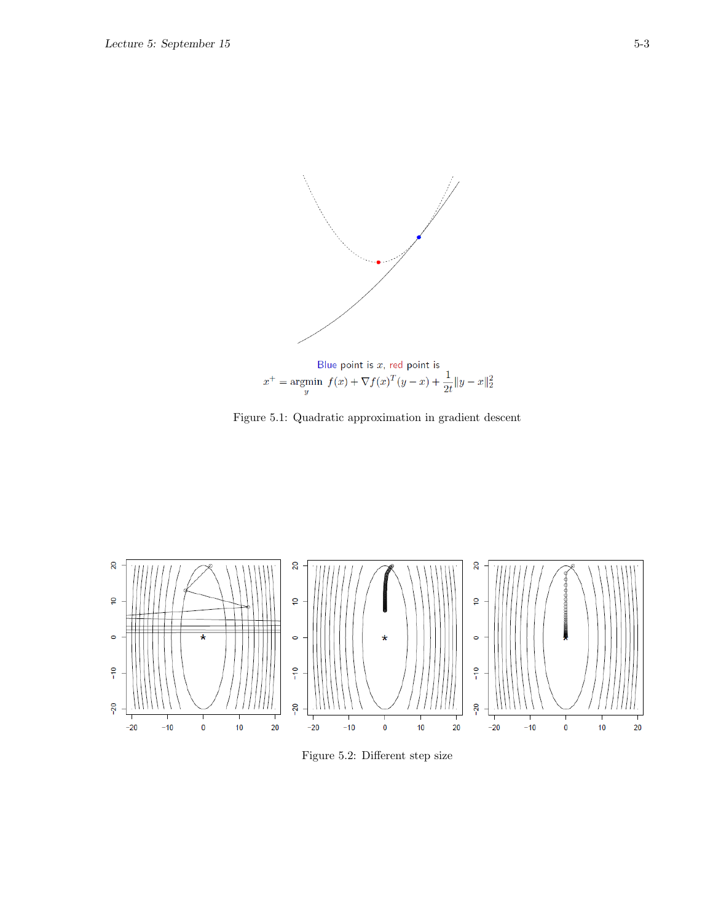

Figure 5.1: Quadratic approximation in gradient descent



Figure 5.2: Different step size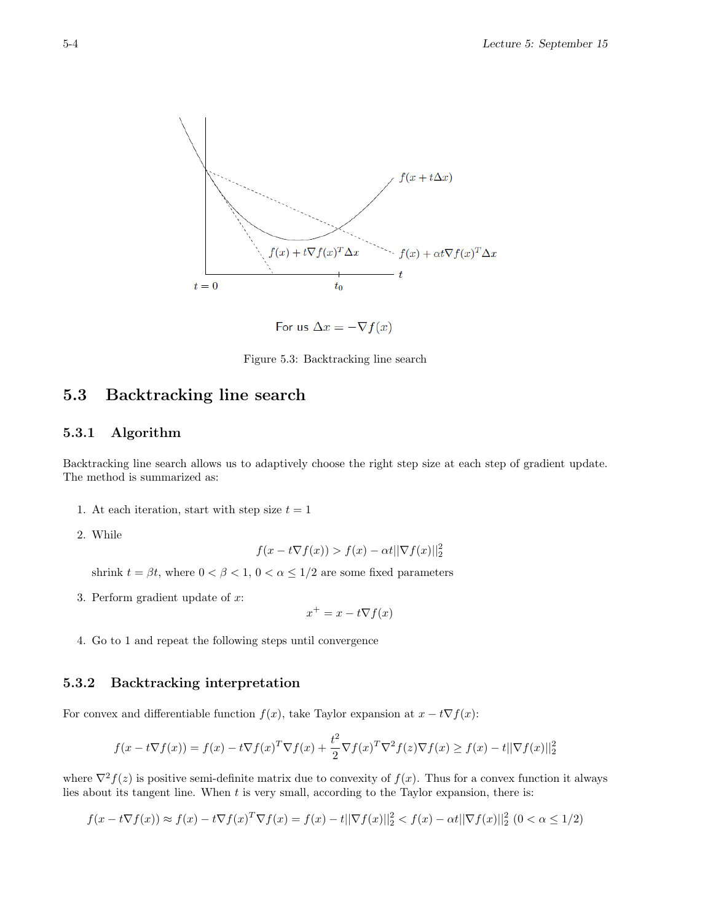

For us  $\Delta x = -\nabla f(x)$ 

Figure 5.3: Backtracking line search

# 5.3 Backtracking line search

#### 5.3.1 Algorithm

Backtracking line search allows us to adaptively choose the right step size at each step of gradient update. The method is summarized as:

- 1. At each iteration, start with step size  $t = 1$
- 2. While

$$
f(x - t\nabla f(x)) > f(x) - \alpha t ||\nabla f(x)||_2^2
$$

shrink  $t = \beta t$ , where  $0 < \beta < 1$ ,  $0 < \alpha \leq 1/2$  are some fixed parameters

3. Perform gradient update of x:

 $x^+ = x - t\nabla f(x)$ 

4. Go to 1 and repeat the following steps until convergence

### 5.3.2 Backtracking interpretation

For convex and differentiable function  $f(x)$ , take Taylor expansion at  $x - t\nabla f(x)$ :

$$
f(x - t\nabla f(x)) = f(x) - t\nabla f(x)^T \nabla f(x) + \frac{t^2}{2} \nabla f(x)^T \nabla^2 f(z) \nabla f(x) \ge f(x) - t ||\nabla f(x)||_2^2
$$

where  $\nabla^2 f(z)$  is positive semi-definite matrix due to convexity of  $f(x)$ . Thus for a convex function it always lies about its tangent line. When  $t$  is very small, according to the Taylor expansion, there is:

$$
f(x - t\nabla f(x)) \approx f(x) - t\nabla f(x)^T \nabla f(x) = f(x) - t||\nabla f(x)||_2^2 < f(x) - \alpha t||\nabla f(x)||_2^2 \quad (0 < \alpha \le 1/2)
$$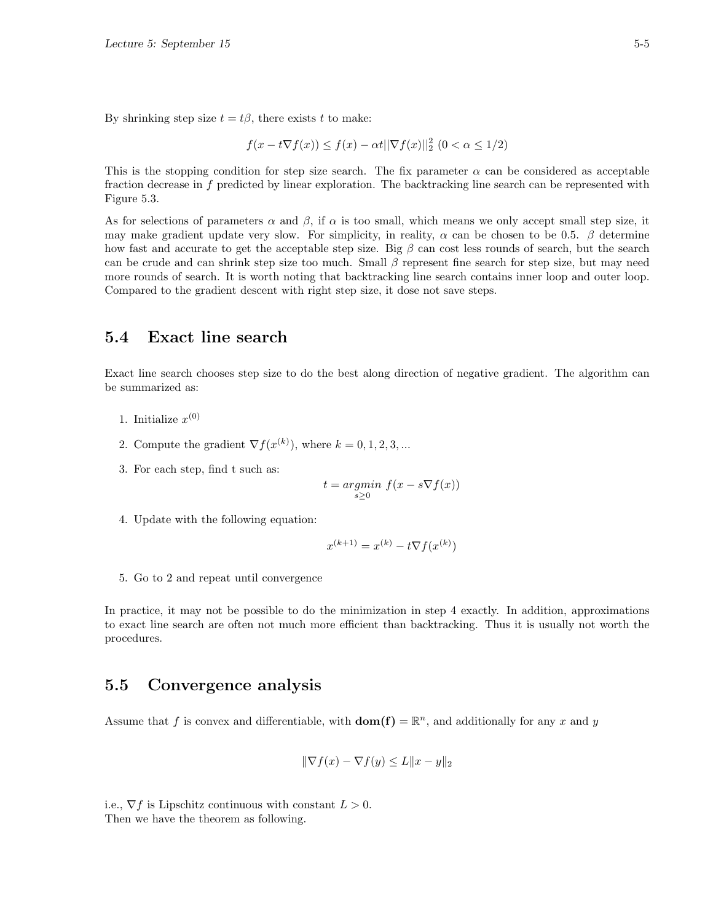By shrinking step size  $t = t\beta$ , there exists t to make:

$$
f(x - t\nabla f(x)) \le f(x) - \alpha t ||\nabla f(x)||_2^2 (0 < \alpha \le 1/2)
$$

This is the stopping condition for step size search. The fix parameter  $\alpha$  can be considered as acceptable fraction decrease in f predicted by linear exploration. The backtracking line search can be represented with Figure 5.3.

As for selections of parameters  $\alpha$  and  $\beta$ , if  $\alpha$  is too small, which means we only accept small step size, it may make gradient update very slow. For simplicity, in reality,  $\alpha$  can be chosen to be 0.5.  $\beta$  determine how fast and accurate to get the acceptable step size. Big  $\beta$  can cost less rounds of search, but the search can be crude and can shrink step size too much. Small  $\beta$  represent fine search for step size, but may need more rounds of search. It is worth noting that backtracking line search contains inner loop and outer loop. Compared to the gradient descent with right step size, it dose not save steps.

# 5.4 Exact line search

Exact line search chooses step size to do the best along direction of negative gradient. The algorithm can be summarized as:

- 1. Initialize  $x^{(0)}$
- 2. Compute the gradient  $\nabla f(x^{(k)})$ , where  $k = 0, 1, 2, 3, ...$
- 3. For each step, find t such as:

$$
t = \underset{s \ge 0}{\operatorname{argmin}} \ f(x - s \nabla f(x))
$$

4. Update with the following equation:

$$
x^{(k+1)} = x^{(k)} - t\nabla f(x^{(k)})
$$

5. Go to 2 and repeat until convergence

In practice, it may not be possible to do the minimization in step 4 exactly. In addition, approximations to exact line search are often not much more efficient than backtracking. Thus it is usually not worth the procedures.

# 5.5 Convergence analysis

Assume that f is convex and differentiable, with  $dom(f) = \mathbb{R}^n$ , and additionally for any x and y

$$
\|\nabla f(x) - \nabla f(y) \le L\|x - y\|_2
$$

i.e.,  $\nabla f$  is Lipschitz continuous with constant  $L > 0$ . Then we have the theorem as following.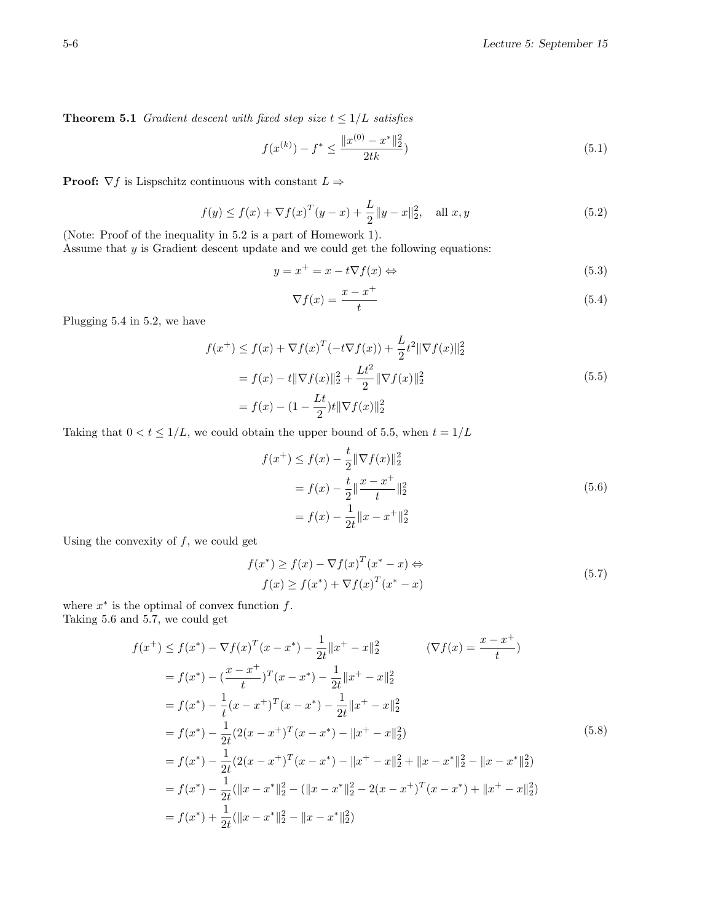**Theorem 5.1** Gradient descent with fixed step size  $t \leq 1/L$  satisfies

$$
f(x^{(k)}) - f^* \le \frac{\|x^{(0)} - x^*\|_2^2}{2tk} \tag{5.1}
$$

**Proof:**  $\nabla f$  is Lispschitz continuous with constant  $L \Rightarrow$ 

$$
f(y) \le f(x) + \nabla f(x)^{T} (y - x) + \frac{L}{2} \|y - x\|_{2}^{2}, \quad \text{all } x, y \tag{5.2}
$$

(Note: Proof of the inequality in 5.2 is a part of Homework 1). Assume that  $y$  is Gradient descent update and we could get the following equations:

$$
y = x^{+} = x - t \nabla f(x) \Leftrightarrow \tag{5.3}
$$

$$
\nabla f(x) = \frac{x - x^+}{t} \tag{5.4}
$$

Plugging 5.4 in 5.2, we have

$$
f(x^{+}) \le f(x) + \nabla f(x)^{T}(-t\nabla f(x)) + \frac{L}{2}t^{2} \|\nabla f(x)\|_{2}^{2}
$$
  
=  $f(x) - t \|\nabla f(x)\|_{2}^{2} + \frac{Lt^{2}}{2} \|\nabla f(x)\|_{2}^{2}$   
=  $f(x) - (1 - \frac{Lt}{2})t \|\nabla f(x)\|_{2}^{2}$  (5.5)

Taking that  $0 < t \leq 1/L$ , we could obtain the upper bound of 5.5, when  $t = 1/L$ 

$$
f(x^{+}) \le f(x) - \frac{t}{2} \|\nabla f(x)\|_{2}^{2}
$$
  
=  $f(x) - \frac{t}{2} \|\frac{x - x^{+}}{t}\|_{2}^{2}$   
=  $f(x) - \frac{1}{2t} \|x - x^{+}\|_{2}^{2}$  (5.6)

Using the convexity of  $f$ , we could get

$$
f(x^*) \ge f(x) - \nabla f(x)^T (x^* - x) \Leftrightarrow f(x) \ge f(x^*) + \nabla f(x)^T (x^* - x)
$$
 (5.7)

where  $x^*$  is the optimal of convex function  $f$ . Taking 5.6 and 5.7, we could get

$$
f(x^{+}) \le f(x^{*}) - \nabla f(x)^{T}(x - x^{*}) - \frac{1}{2t} \|x^{+} - x\|_{2}^{2} \qquad (\nabla f(x) = \frac{x - x^{+}}{t})
$$
  
\n
$$
= f(x^{*}) - (\frac{x - x^{+}}{t})^{T}(x - x^{*}) - \frac{1}{2t} \|x^{+} - x\|_{2}^{2}
$$
  
\n
$$
= f(x^{*}) - \frac{1}{t}(x - x^{+})^{T}(x - x^{*}) - \frac{1}{2t} \|x^{+} - x\|_{2}^{2}
$$
  
\n
$$
= f(x^{*}) - \frac{1}{2t}(2(x - x^{+})^{T}(x - x^{*}) - \|x^{+} - x\|_{2}^{2})
$$
  
\n
$$
= f(x^{*}) - \frac{1}{2t}(2(x - x^{+})^{T}(x - x^{*}) - \|x^{+} - x\|_{2}^{2} + \|x - x^{*}\|_{2}^{2} - \|x - x^{*}\|_{2}^{2})
$$
  
\n
$$
= f(x^{*}) - \frac{1}{2t}(\|x - x^{*}\|_{2}^{2} - (\|x - x^{*}\|_{2}^{2} - 2(x - x^{+})^{T}(x - x^{*}) + \|x^{+} - x\|_{2}^{2})
$$
  
\n
$$
= f(x^{*}) + \frac{1}{2t}(\|x - x^{*}\|_{2}^{2} - \|x - x^{*}\|_{2}^{2})
$$
  
\n(5.8)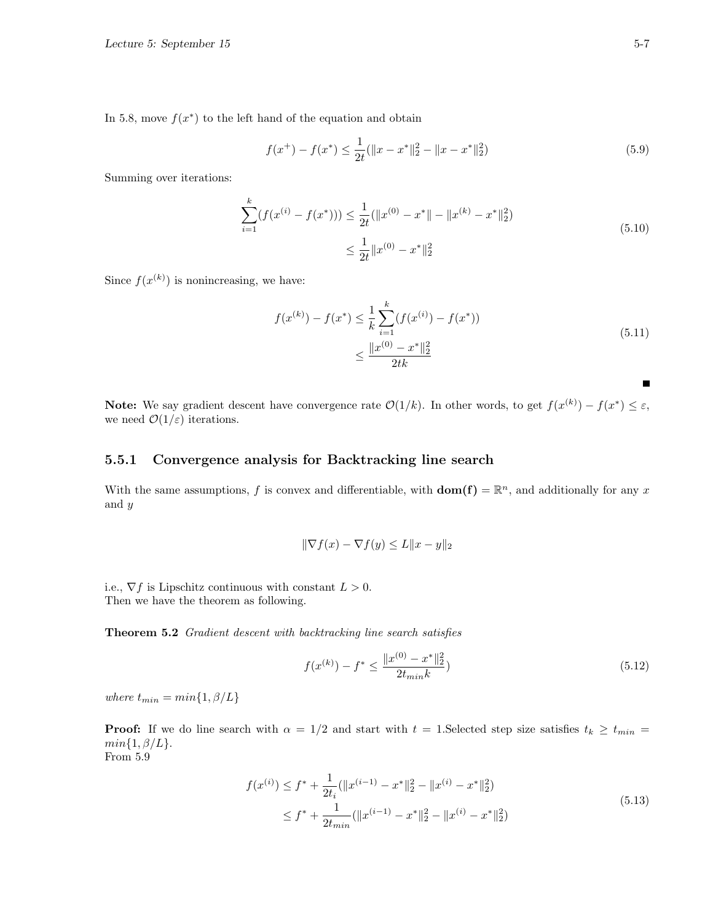In 5.8, move  $f(x^*)$  to the left hand of the equation and obtain

$$
f(x^{+}) - f(x^{*}) \le \frac{1}{2t} (\|x - x^{*}\|_{2}^{2} - \|x - x^{*}\|_{2}^{2})
$$
\n(5.9)

Summing over iterations:

$$
\sum_{i=1}^{k} (f(x^{(i)} - f(x^*))) \le \frac{1}{2t} (\|x^{(0)} - x^*\| - \|x^{(k)} - x^*\|_2^2)
$$
\n
$$
\le \frac{1}{2t} \|x^{(0)} - x^*\|_2^2
$$
\n(5.10)

Since  $f(x^{(k)})$  is nonincreasing, we have:

$$
f(x^{(k)}) - f(x^*) \le \frac{1}{k} \sum_{i=1}^k (f(x^{(i)}) - f(x^*))
$$
  

$$
\le \frac{\|x^{(0)} - x^*\|_2^2}{2tk}
$$
 (5.11)

**Note:** We say gradient descent have convergence rate  $\mathcal{O}(1/k)$ . In other words, to get  $f(x^{(k)}) - f(x^*) \leq \varepsilon$ , we need  $\mathcal{O}(1/\varepsilon)$  iterations.

### 5.5.1 Convergence analysis for Backtracking line search

With the same assumptions, f is convex and differentiable, with  $dom(f) = \mathbb{R}^n$ , and additionally for any x and y

$$
\|\nabla f(x) - \nabla f(y) \le L\|x - y\|_2
$$

i.e.,  $\nabla f$  is Lipschitz continuous with constant  $L > 0$ . Then we have the theorem as following.

Theorem 5.2 Gradient descent with backtracking line search satisfies

$$
f(x^{(k)}) - f^* \le \frac{\|x^{(0)} - x^*\|_2^2}{2t_{min}k} \tag{5.12}
$$

where  $t_{min} = min\{1, \beta/L\}$ 

**Proof:** If we do line search with  $\alpha = 1/2$  and start with  $t = 1$ . Selected step size satisfies  $t_k \ge t_{min}$  $min{1, \beta/L}.$ 

From 5.9

$$
f(x^{(i)}) \le f^* + \frac{1}{2t_i} (\|x^{(i-1)} - x^*\|_2^2 - \|x^{(i)} - x^*\|_2^2)
$$
  

$$
\le f^* + \frac{1}{2t_{min}} (\|x^{(i-1)} - x^*\|_2^2 - \|x^{(i)} - x^*\|_2^2)
$$
 (5.13)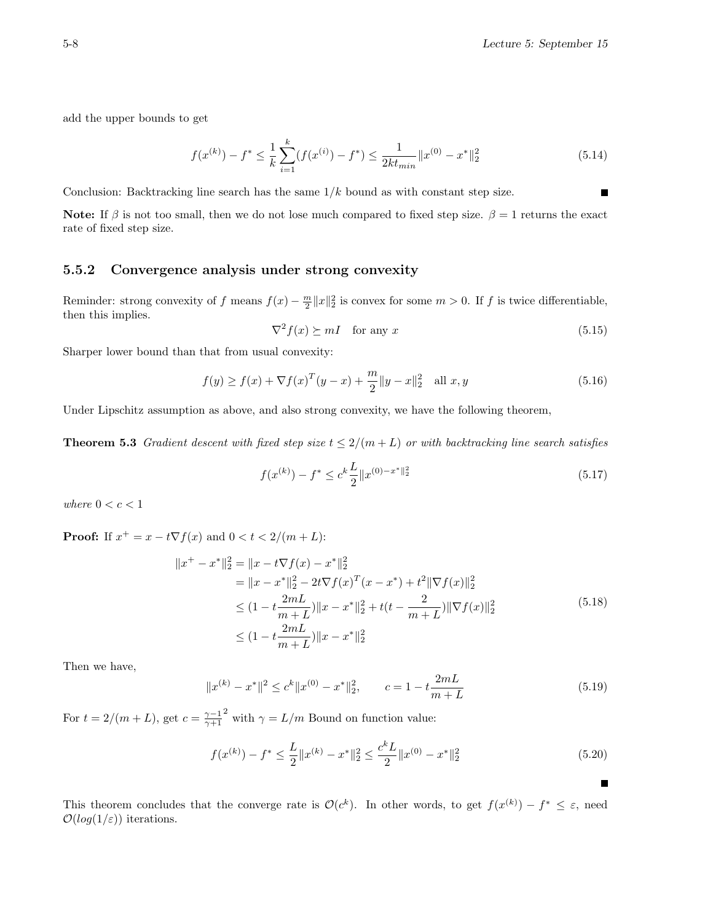add the upper bounds to get

$$
f(x^{(k)}) - f^* \le \frac{1}{k} \sum_{i=1}^k (f(x^{(i)}) - f^*) \le \frac{1}{2k t_{min}} \|x^{(0)} - x^*\|_2^2
$$
\n(5.14)

Conclusion: Backtracking line search has the same  $1/k$  bound as with constant step size.

Note: If  $\beta$  is not too small, then we do not lose much compared to fixed step size.  $\beta = 1$  returns the exact rate of fixed step size.

### 5.5.2 Convergence analysis under strong convexity

Reminder: strong convexity of f means  $f(x) - \frac{m}{2} ||x||_2^2$  is convex for some  $m > 0$ . If f is twice differentiable, then this implies.

$$
\nabla^2 f(x) \succeq mI \quad \text{for any } x \tag{5.15}
$$

Sharper lower bound than that from usual convexity:

$$
f(y) \ge f(x) + \nabla f(x)^{T} (y - x) + \frac{m}{2} \|y - x\|_{2}^{2} \quad \text{all } x, y \tag{5.16}
$$

Under Lipschitz assumption as above, and also strong convexity, we have the following theorem,

**Theorem 5.3** Gradient descent with fixed step size  $t \leq 2/(m+L)$  or with backtracking line search satisfies

$$
f(x^{(k)}) - f^* \le c^k \frac{L}{2} \|x^{(0)-x^*}\|^2 \tag{5.17}
$$

where  $0 < c < 1$ 

**Proof:** If  $x^+ = x - t\nabla f(x)$  and  $0 < t < 2/(m + L)$ :

$$
||x^{+} - x^{*}||_{2}^{2} = ||x - t\nabla f(x) - x^{*}||_{2}^{2}
$$
  
\n
$$
= ||x - x^{*}||_{2}^{2} - 2t\nabla f(x)^{T}(x - x^{*}) + t^{2}||\nabla f(x)||_{2}^{2}
$$
  
\n
$$
\leq (1 - t\frac{2mL}{m+L})||x - x^{*}||_{2}^{2} + t(t - \frac{2}{m+L})||\nabla f(x)||_{2}^{2}
$$
\n
$$
\leq (1 - t\frac{2mL}{m+L})||x - x^{*}||_{2}^{2}
$$
\n(5.18)

Then we have,

$$
||x^{(k)} - x^*||^2 \le c^k ||x^{(0)} - x^*||_2^2, \qquad c = 1 - t \frac{2mL}{m+L}
$$
 (5.19)

For  $t = 2/(m+L)$ , get  $c = \frac{\gamma - 1}{\gamma + 1}$ <sup>2</sup> with  $\gamma = L/m$  Bound on function value:

$$
f(x^{(k)}) - f^* \le \frac{L}{2} \|x^{(k)} - x^*\|_2^2 \le \frac{c^k L}{2} \|x^{(0)} - x^*\|_2^2
$$
\n(5.20)

This theorem concludes that the converge rate is  $\mathcal{O}(c^k)$ . In other words, to get  $f(x^{(k)}) - f^* \leq \varepsilon$ , need  $\mathcal{O}(log(1/\varepsilon))$  iterations.